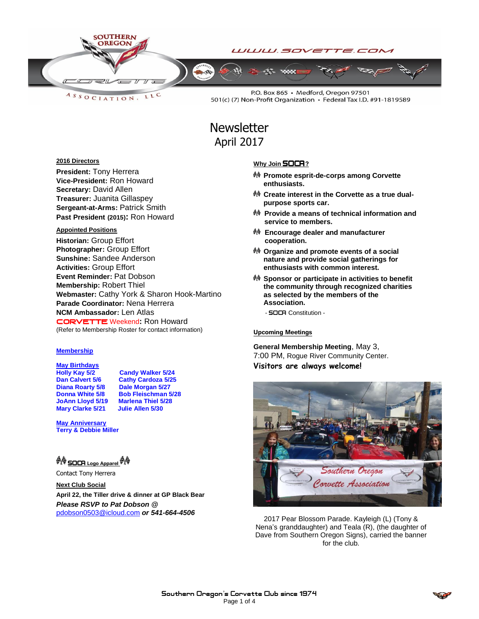

LLC ASSOCIATION.

P.O. Box 865 · Medford, Oregon 97501 501(c) (7) Non-Profit Organization · Federal Tax I.D. #91-1819589

# **Newsletter** April 2017

### **2016 Directors**

**President:** Tony Herrera **Vice-President:** Ron Howard **Secretary:** David Allen **Treasurer:** Juanita Gillaspey **Sergeant-at-Arms:** Patrick Smith **Past President (2015):** Ron Howard

### **Appointed Positions**

**Historian:** Group Effort **Photographer:** Group Effort **Sunshine:** Sandee Anderson **Activities:** Group Effort **Event Reminder:** Pat Dobson **Membership:** Robert Thiel **Webmaster:** Cathy York & Sharon Hook-Martino **Parade Coordinator:** Nena Herrera **NCM Ambassador:** Len Atlas CORVETTEWeekend**:** Ron Howard (Refer to Membership Roster for contact information)

### **Membership**

**May Birthdays Holly Kay 5/2 Candy Walker 5/24**<br>Dan Calvert 5/6 Cathy Cardoza 5/25 **Mary Clarke 5/21** 

**Cathy Cardoza 5/25 Diana Roarty 5/8 Dale Morgan 5/27 Donna White 5/8 Bob Fleischman 5/28 JoAnn Lloyd 5/19 Marlena Thiel 5/30 Marg Clarke 5/21 Julie Allen 5/30** 

**May Anniversary Terry & Debbie Miller**

**《 SOCR** Logo Apparel *《* 

Contact Tony Herrera

**Next Club Social April 22, the Tiller drive & dinner at GP Black Bear** *Please RSVP to Pat Dobson @*  [pdobson0503@icloud.com](mailto:pdobson0503@icloud.com) *or 541-664-4506*

## **Why Join SOCA**?

- **Promote esprit-de-corps among Corvette enthusiasts.**
- **Create interest in the Corvette as a true dualpurpose sports car.**
- **Provide a means of technical information and service to members.**
- **Encourage dealer and manufacturer cooperation.**
- **Organize and promote events of a social nature and provide social gatherings for enthusiasts with common interest.**
- **Sponsor or participate in activities to benefit the community through recognized charities as selected by the members of the Association.**
	- **SOCA** Constitution -

## Upcoming Meetings

**General Membership Meeting**, May 3, 7:00 PM, Rogue River Community Center. **Visitors are always welcome!**



2017 Pear Blossom Parade. Kayleigh (L) (Tony & Nena's granddaughter) and Teala (R), (the daughter of Dave from Southern Oregon Signs), carried the banner for the club.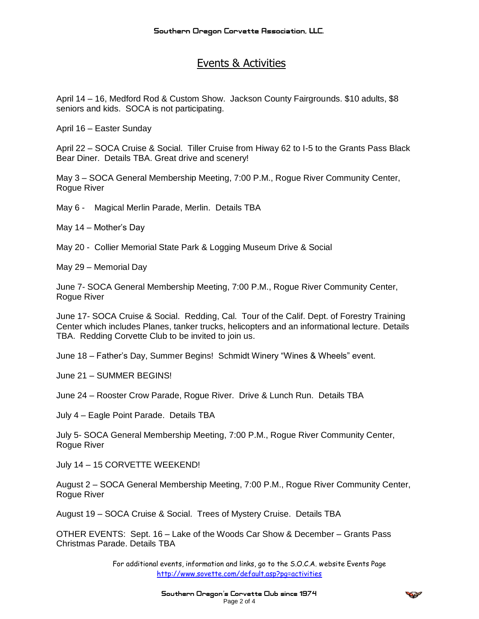# Events & Activities

April 14 – 16, Medford Rod & Custom Show. Jackson County Fairgrounds. \$10 adults, \$8 seniors and kids. SOCA is not participating.

April 16 – Easter Sunday

April 22 – SOCA Cruise & Social. Tiller Cruise from Hiway 62 to I-5 to the Grants Pass Black Bear Diner. Details TBA. Great drive and scenery!

May 3 – SOCA General Membership Meeting, 7:00 P.M., Rogue River Community Center, Rogue River

May 6 - Magical Merlin Parade, Merlin. Details TBA

May 14 – Mother's Day

May 20 - Collier Memorial State Park & Logging Museum Drive & Social

May 29 – Memorial Day

June 7- SOCA General Membership Meeting, 7:00 P.M., Rogue River Community Center, Rogue River

June 17- SOCA Cruise & Social. Redding, Cal. Tour of the Calif. Dept. of Forestry Training Center which includes Planes, tanker trucks, helicopters and an informational lecture. Details TBA. Redding Corvette Club to be invited to join us.

June 18 – Father's Day, Summer Begins! Schmidt Winery "Wines & Wheels" event.

June 21 – SUMMER BEGINS!

June 24 – Rooster Crow Parade, Rogue River. Drive & Lunch Run. Details TBA

July 4 – Eagle Point Parade. Details TBA

July 5- SOCA General Membership Meeting, 7:00 P.M., Rogue River Community Center, Rogue River

July 14 – 15 CORVETTE WEEKEND!

August 2 – SOCA General Membership Meeting, 7:00 P.M., Rogue River Community Center, Rogue River

August 19 – SOCA Cruise & Social. Trees of Mystery Cruise. Details TBA

OTHER EVENTS: Sept. 16 – Lake of the Woods Car Show & December – Grants Pass Christmas Parade. Details TBA

> For additional events, information and links, go to the S.O.C.A. website Events Page <http://www.sovette.com/default.asp?pg=activities>

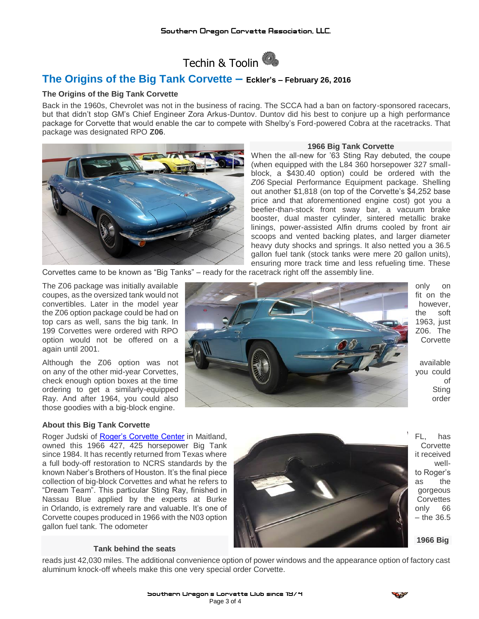

# **The Origins of the Big Tank Corvette – Eckler's – February 26, 2016**

# **The Origins of the Big Tank Corvette**

Back in the 1960s, Chevrolet was not in the business of racing. The SCCA had a ban on factory-sponsored racecars, but that didn't stop GM's Chief Engineer Zora Arkus-Duntov. Duntov did his best to conjure up a high performance package for Corvette that would enable the car to compete with Shelby's Ford-powered Cobra at the racetracks. That package was designated RPO **Z06**.



## **1966 Big Tank Corvette**

When the all-new for '63 Sting Ray debuted, the coupe (when equipped with the L84 360 horsepower 327 smallblock, a \$430.40 option) could be ordered with the *Z06* Special Performance Equipment package. Shelling out another \$1,818 (on top of the Corvette's \$4,252 base price and that aforementioned engine cost) got you a beefier-than-stock front sway bar, a vacuum brake booster, dual master cylinder, sintered metallic brake linings, power-assisted Alfin drums cooled by front air scoops and vented backing plates, and larger diameter heavy duty shocks and springs. It also netted you a 36.5 gallon fuel tank (stock tanks were mere 20 gallon units), ensuring more track time and less refueling time. These

Corvettes came to be known as "Big Tanks" – ready for the racetrack right off the assembly line.

again until 2001.

those goodies with a big-block engine.



## **About this Big Tank Corvette**

owned this 1966 427, 425 horsepower Big Tank Corvette since 1984. It has recently returned from Texas where it received a full body-off restoration to NCRS standards by the wellknown Naber's Brothers of Houston. It's the final piece to Roger's to Roger's to Roger's collection of big-block Corvettes and what he refers to as the collection of big-block Corvettes and what he refers to as the collection of big-block Corvettes and what he refers to as the collection of big-block Corvettes "Dream Team". This particular Sting Ray, finished in gorgeous and the contract of gorgeous gorgeous Nassau Blue applied by the experts at Burke Corvettes in Orlando, is extremely rare and valuable. It's one of **the only and intervention only 66** only 66 Corvette coupes produced in 1966 with the N03 option **Corvette Corvette Coupes produced in 1966** with the N03 option gallon fuel tank. The odometer

### **Tank behind the seats**



reads just 42,030 miles. The additional convenience option of power windows and the appearance option of factory cast aluminum knock-off wheels make this one very special order Corvette.